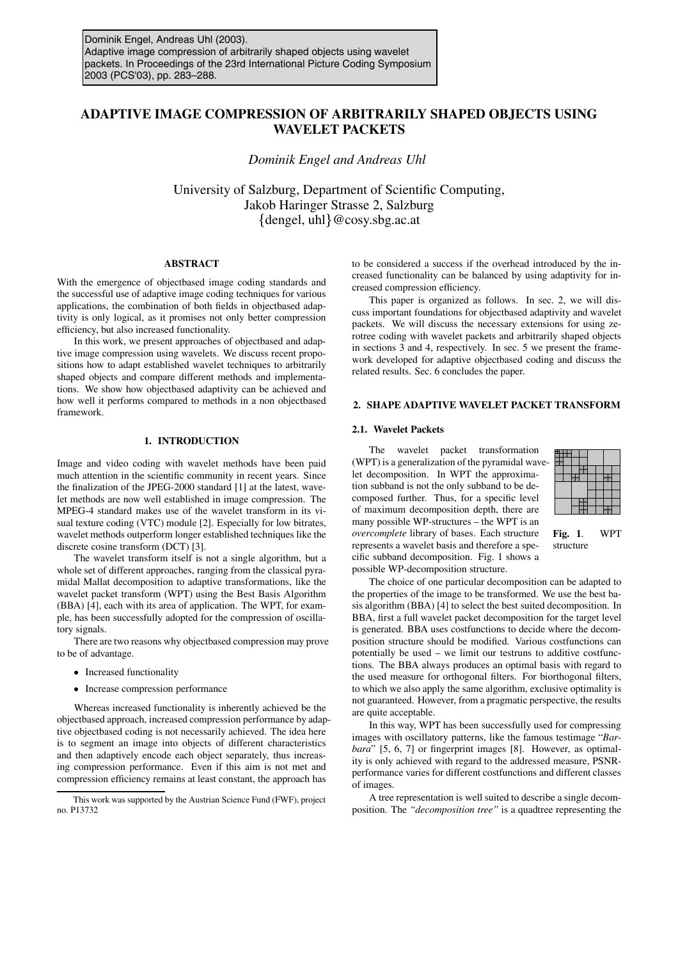# **ADAPTIVE IMAGE COMPRESSION OF ARBITRARILY SHAPED OBJECTS USING WAVELET PACKETS**

*Dominik Engel and Andreas Uhl*

University of Salzburg, Department of Scientific Computing, Jakob Haringer Strasse 2, Salzburg  $\{$  dengel, uhl $\}$  @cosy.sbg.ac.at

## **ABSTRACT**

With the emergence of objectbased image coding standards and the successful use of adaptive image coding techniques for various applications, the combination of both fields in objectbased adaptivity is only logical, as it promises not only better compression efficiency, but also increased functionality.

In this work, we present approaches of objectbased and adaptive image compression using wavelets. We discuss recent propositions how to adapt established wavelet techniques to arbitrarily shaped objects and compare different methods and implementations. We show how objectbased adaptivity can be achieved and how well it performs compared to methods in a non objectbased framework.

# **1. INTRODUCTION**

Image and video coding with wavelet methods have been paid much attention in the scientific community in recent years. Since the finalization of the JPEG-2000 standard [1] at the latest, wavelet methods are now well established in image compression. The MPEG-4 standard makes use of the wavelet transform in its visual texture coding (VTC) module [2]. Especially for low bitrates, wavelet methods outperform longer established techniques like the discrete cosine transform (DCT) [3].

The wavelet transform itself is not a single algorithm, but a whole set of different approaches, ranging from the classical pyramidal Mallat decomposition to adaptive transformations, like the wavelet packet transform (WPT) using the Best Basis Algorithm (BBA) [4], each with its area of application. The WPT, for example, has been successfully adopted for the compression of oscillatory signals.

There are two reasons why objectbased compression may prove to be of advantage.

- Increased functionality
- Increase compression performance

Whereas increased functionality is inherently achieved be the objectbased approach, increased compression performance by adaptive objectbased coding is not necessarily achieved. The idea here is to segment an image into objects of different characteristics and then adaptively encode each object separately, thus increasing compression performance. Even if this aim is not met and compression efficiency remains at least constant, the approach has

to be considered a success if the overhead introduced by the increased functionality can be balanced by using adaptivity for increased compression efficiency.

This paper is organized as follows. In sec. 2, we will discuss important foundations for objectbased adaptivity and wavelet packets. We will discuss the necessary extensions for using zerotree coding with wavelet packets and arbitrarily shaped objects in sections 3 and 4, respectively. In sec. 5 we present the framework developed for adaptive objectbased coding and discuss the related results. Sec. 6 concludes the paper.

# **2. SHAPE ADAPTIVE WAVELET PACKET TRANSFORM**

## **2.1. Wavelet Packets**

The wavelet packet transformation (WPT) is a generalization of the pyramidal wavelet decomposition. In WPT the approximation subband is not the only subband to be decomposed further. Thus, for a specific level of maximum decomposition depth, there are many possible WP-structures – the WPT is an *overcomplete* library of bases. Each structure represents a wavelet basis and therefore a specific subband decomposition. Fig. 1 shows a possible WP-decomposition structure.

**Fig. 1**. WPT structure

The choice of one particular decomposition can be adapted to the properties of the image to be transformed. We use the best basis algorithm (BBA) [4] to select the best suited decomposition. In BBA, first a full wavelet packet decomposition for the target level is generated. BBA uses costfunctions to decide where the decomposition structure should be modified. Various costfunctions can potentially be used – we limit our testruns to additive costfunctions. The BBA always produces an optimal basis with regard to the used measure for orthogonal filters. For biorthogonal filters, to which we also apply the same algorithm, exclusive optimality is not guaranteed. However, from a pragmatic perspective, the results are quite acceptable.

In this way, WPT has been successfully used for compressing images with oscillatory patterns, like the famous testimage "*Barbara*" [5, 6, 7] or fingerprint images [8]. However, as optimality is only achieved with regard to the addressed measure, PSNRperformance varies for different costfunctions and different classes of images.

A tree representation is well suited to describe a single decomposition. The *"decomposition tree"* is a quadtree representing the

This work was supported by the Austrian Science Fund (FWF), project no. P13732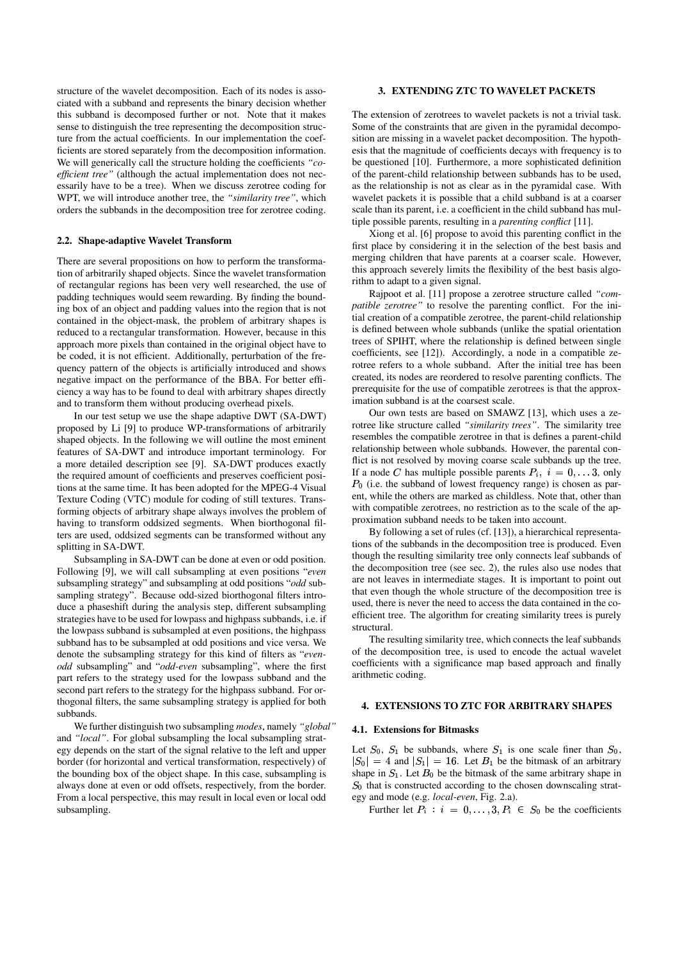structure of the wavelet decomposition. Each of its nodes is associated with a subband and represents the binary decision whether this subband is decomposed further or not. Note that it makes sense to distinguish the tree representing the decomposition structure from the actual coefficients. In our implementation the coefficients are stored separately from the decomposition information. We will generically call the structure holding the coefficients *"coefficient tree"* (although the actual implementation does not necessarily have to be a tree). When we discuss zerotree coding for WPT, we will introduce another tree, the *"similarity tree"*, which orders the subbands in the decomposition tree for zerotree coding.

#### **2.2. Shape-adaptive Wavelet Transform**

There are several propositions on how to perform the transformation of arbitrarily shaped objects. Since the wavelet transformation of rectangular regions has been very well researched, the use of padding techniques would seem rewarding. By finding the bounding box of an object and padding values into the region that is not contained in the object-mask, the problem of arbitrary shapes is reduced to a rectangular transformation. However, because in this approach more pixels than contained in the original object have to be coded, it is not efficient. Additionally, perturbation of the frequency pattern of the objects is artificially introduced and shows negative impact on the performance of the BBA. For better efficiency a way has to be found to deal with arbitrary shapes directly and to transform them without producing overhead pixels.

In our test setup we use the shape adaptive DWT (SA-DWT) proposed by Li [9] to produce WP-transformations of arbitrarily shaped objects. In the following we will outline the most eminent features of SA-DWT and introduce important terminology. For a more detailed description see [9]. SA-DWT produces exactly the required amount of coefficients and preserves coefficient positions at the same time. It has been adopted for the MPEG-4 Visual Texture Coding (VTC) module for coding of still textures. Transforming objects of arbitrary shape always involves the problem of having to transform oddsized segments. When biorthogonal filters are used, oddsized segments can be transformed without any splitting in SA-DWT.

Subsampling in SA-DWT can be done at even or odd position. Following [9], we will call subsampling at even positions "*even* subsampling strategy" and subsampling at odd positions "*odd* subsampling strategy". Because odd-sized biorthogonal filters introduce a phaseshift during the analysis step, different subsampling strategies have to be used for lowpass and highpass subbands, i.e. if the lowpass subband is subsampled at even positions, the highpass subband has to be subsampled at odd positions and vice versa. We denote the subsampling strategy for this kind of filters as "*evenodd* subsampling" and "*odd-even* subsampling", where the first part refers to the strategy used for the lowpass subband and the second part refers to the strategy for the highpass subband. For orthogonal filters, the same subsampling strategy is applied for both subbands.

We further distinguish two subsampling *modes*, namely *"global"* and *"local"*. For global subsampling the local subsampling strategy depends on the start of the signal relative to the left and upper border (for horizontal and vertical transformation, respectively) of the bounding box of the object shape. In this case, subsampling is always done at even or odd offsets, respectively, from the border. From a local perspective, this may result in local even or local odd subsampling.

#### **3. EXTENDING ZTC TO WAVELET PACKETS**

The extension of zerotrees to wavelet packets is not a trivial task. Some of the constraints that are given in the pyramidal decomposition are missing in a wavelet packet decomposition. The hypothesis that the magnitude of coefficients decays with frequency is to be questioned [10]. Furthermore, a more sophisticated definition of the parent-child relationship between subbands has to be used, as the relationship is not as clear as in the pyramidal case. With wavelet packets it is possible that a child subband is at a coarser scale than its parent, i.e. a coefficient in the child subband has multiple possible parents, resulting in a *parenting conflict* [11].

Xiong et al. [6] propose to avoid this parenting conflict in the first place by considering it in the selection of the best basis and merging children that have parents at a coarser scale. However, this approach severely limits the flexibility of the best basis algorithm to adapt to a given signal.

Rajpoot et al. [11] propose a zerotree structure called *"compatible zerotree"* to resolve the parenting conflict. For the initial creation of a compatible zerotree, the parent-child relationship is defined between whole subbands (unlike the spatial orientation trees of SPIHT, where the relationship is defined between single coefficients, see [12]). Accordingly, a node in a compatible zerotree refers to a whole subband. After the initial tree has been created, its nodes are reordered to resolve parenting conflicts. The prerequisite for the use of compatible zerotrees is that the approximation subband is at the coarsest scale.

Our own tests are based on SMAWZ [13], which uses a zerotree like structure called *"similarity trees"*. The similarity tree resembles the compatible zerotree in that is defines a parent-child relationship between whole subbands. However, the parental conflict is not resolved by moving coarse scale subbands up the tree. If a node C has multiple possible parents  $P_i$ ,  $i = 0, \ldots, 3$ , only  $P_0$  (i.e. the subband of lowest frequency range) is chosen as parent, while the others are marked as childless. Note that, other than with compatible zerotrees, no restriction as to the scale of the approximation subband needs to be taken into account.

By following a set of rules (cf. [13]), a hierarchical representations of the subbands in the decomposition tree is produced. Even though the resulting similarity tree only connects leaf subbands of the decomposition tree (see sec. 2), the rules also use nodes that are not leaves in intermediate stages. It is important to point out that even though the whole structure of the decomposition tree is used, there is never the need to access the data contained in the coefficient tree. The algorithm for creating similarity trees is purely structural.

The resulting similarity tree, which connects the leaf subbands of the decomposition tree, is used to encode the actual wavelet coefficients with a significance map based approach and finally arithmetic coding.

# **4. EXTENSIONS TO ZTC FOR ARBITRARY SHAPES**

## **4.1. Extensions for Bitmasks**

Let  $S_0$ ,  $S_1$  be subbands, where  $S_1$  is one scale finer than  $S_0$ ,  $|S_0| = 4$  and  $|S_1| = 16$ . Let  $B_1$  be the bitmask of an arbitrary shape in  $S_1$ . Let  $B_0$  be the bitmask of the same arbitrary shape in  $S_0$  that is constructed according to the chosen downscaling strategy and mode (e.g. *local-even*, Fig. 2.a).

Further let  $P_i$ :  $i = 0, \ldots, 3, P_i \in S_0$  be the coefficients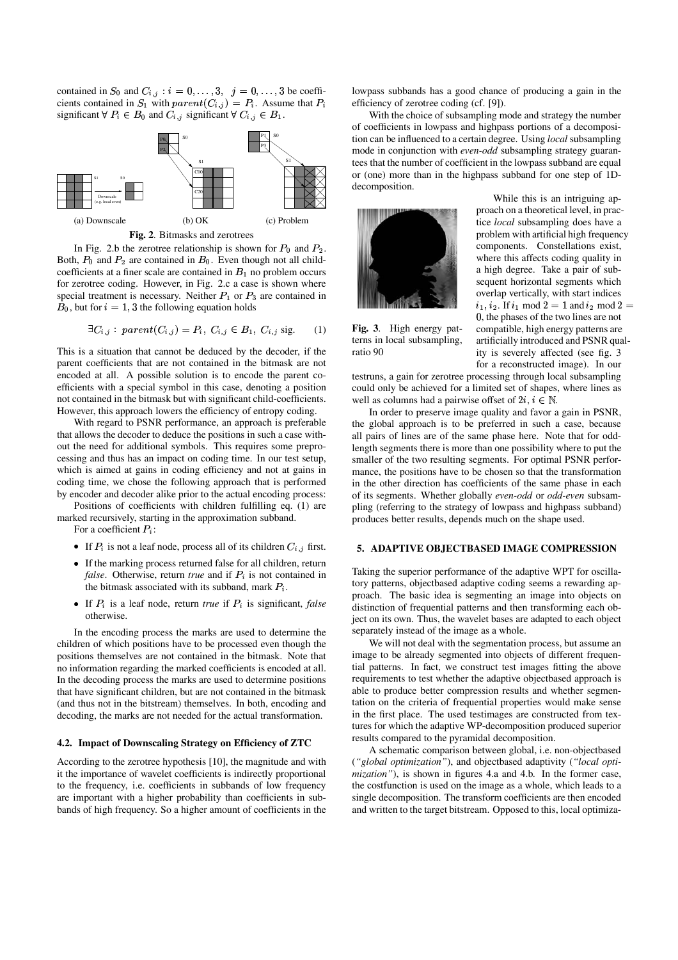contained in  $S_0$  and  $C_{i,j}$ :  $i = 0, \ldots, 3, j = 0, \ldots, 3$  be coefficients contained in  $S_1$  with  $parent(C_{i,j}) = P_i$ . Assume that  $P_i$ significant  $\forall P_i \in B_0$  and  $C_{i,j}$  significant  $\forall C_{i,j} \in B_1$ .



**Fig. 2**. Bitmasks and zerotrees

In Fig. 2.b the zerotree relationship is shown for  $P_0$  and  $P_2$ . Both,  $P_0$  and  $P_2$  are contained in  $B_0$ . Even though not all childcoefficients at a finer scale are contained in  $B_1$  no problem occurs for zerotree coding. However, in Fig. 2.c a case is shown where special treatment is necessary. Neither  $P_1$  or  $P_3$  are contained in  $B_0$ , but for  $i = 1, 3$  the following equation holds

$$
\exists C_{i,j} : parent(C_{i,j}) = P_i, C_{i,j} \in B_1, C_{i,j} \text{ sig.}
$$
 (1)

This is a situation that cannot be deduced by the decoder, if the parent coefficients that are not contained in the bitmask are not encoded at all. A possible solution is to encode the parent coefficients with a special symbol in this case, denoting a position not contained in the bitmask but with significant child-coefficients. However, this approach lowers the efficiency of entropy coding.

With regard to PSNR performance, an approach is preferable that allows the decoder to deduce the positions in such a case without the need for additional symbols. This requires some preprocessing and thus has an impact on coding time. In our test setup, which is aimed at gains in coding efficiency and not at gains in coding time, we chose the following approach that is performed by encoder and decoder alike prior to the actual encoding process:

Positions of coefficients with children fulfilling eq. (1) are marked recursively, starting in the approximation subband.

For a coefficient  $P_i$ :

- If  $P_i$  is not a leaf node, process all of its children  $C_{i,j}$  first.
- If the marking process returned false for all children, return *false*. Otherwise, return *true* and if  $P_i$  is not contained in the bitmask associated with its subband, mark  $P_i$ .
- If  $P_i$  is a leaf node, return *true* if  $P_i$  is significant, *false* otherwise.

In the encoding process the marks are used to determine the children of which positions have to be processed even though the positions themselves are not contained in the bitmask. Note that no information regarding the marked coefficients is encoded at all. In the decoding process the marks are used to determine positions that have significant children, but are not contained in the bitmask (and thus not in the bitstream) themselves. In both, encoding and decoding, the marks are not needed for the actual transformation.

# **4.2. Impact of Downscaling Strategy on Efficiency of ZTC**

According to the zerotree hypothesis [10], the magnitude and with it the importance of wavelet coefficients is indirectly proportional to the frequency, i.e. coefficients in subbands of low frequency are important with a higher probability than coefficients in subbands of high frequency. So a higher amount of coefficients in the lowpass subbands has a good chance of producing a gain in the efficiency of zerotree coding (cf. [9]).

With the choice of subsampling mode and strategy the number of coefficients in lowpass and highpass portions of a decomposition can be influenced to a certain degree. Using *local* subsampling mode in conjunction with *even-odd* subsampling strategy guarantees that the number of coefficient in the lowpass subband are equal or (one) more than in the highpass subband for one step of 1Ddecomposition.



**Fig. 3**. High energy patterns in local subsampling, ratio 90

While this is an intriguing approach on a theoretical level, in practice *local* subsampling does have a problem with artificial high frequency components. Constellations exist, where this affects coding quality in a high degree. Take a pair of subsequent horizontal segments which overlap vertically, with start indices  $i_1, i_2$ . If  $i_1 \mod 2 = 1$  and  $i_2 \mod 2 =$ , the phases of the two lines are not compatible, high energy patterns are artificially introduced and PSNR quality is severely affected (see fig. 3 for a reconstructed image). In our

testruns, a gain for zerotree processing through local subsampling could only be achieved for a limited set of shapes, where lines as well as columns had a pairwise offset of  $2i, i \in \mathbb{N}$ .

In order to preserve image quality and favor a gain in PSNR, the global approach is to be preferred in such a case, because all pairs of lines are of the same phase here. Note that for oddlength segments there is more than one possibility where to put the smaller of the two resulting segments. For optimal PSNR performance, the positions have to be chosen so that the transformation in the other direction has coefficients of the same phase in each of its segments. Whether globally *even-odd* or *odd-even* subsampling (referring to the strategy of lowpass and highpass subband) produces better results, depends much on the shape used.

## **5. ADAPTIVE OBJECTBASED IMAGE COMPRESSION**

Taking the superior performance of the adaptive WPT for oscillatory patterns, objectbased adaptive coding seems a rewarding approach. The basic idea is segmenting an image into objects on distinction of frequential patterns and then transforming each object on its own. Thus, the wavelet bases are adapted to each object separately instead of the image as a whole.

We will not deal with the segmentation process, but assume an image to be already segmented into objects of different frequential patterns. In fact, we construct test images fitting the above requirements to test whether the adaptive objectbased approach is able to produce better compression results and whether segmentation on the criteria of frequential properties would make sense in the first place. The used testimages are constructed from textures for which the adaptive WP-decomposition produced superior results compared to the pyramidal decomposition.

A schematic comparison between global, i.e. non-objectbased (*"global optimization"*), and objectbased adaptivity (*"local optimization"*), is shown in figures 4.a and 4.b. In the former case, the costfunction is used on the image as a whole, which leads to a single decomposition. The transform coefficients are then encoded and written to the target bitstream. Opposed to this, local optimiza-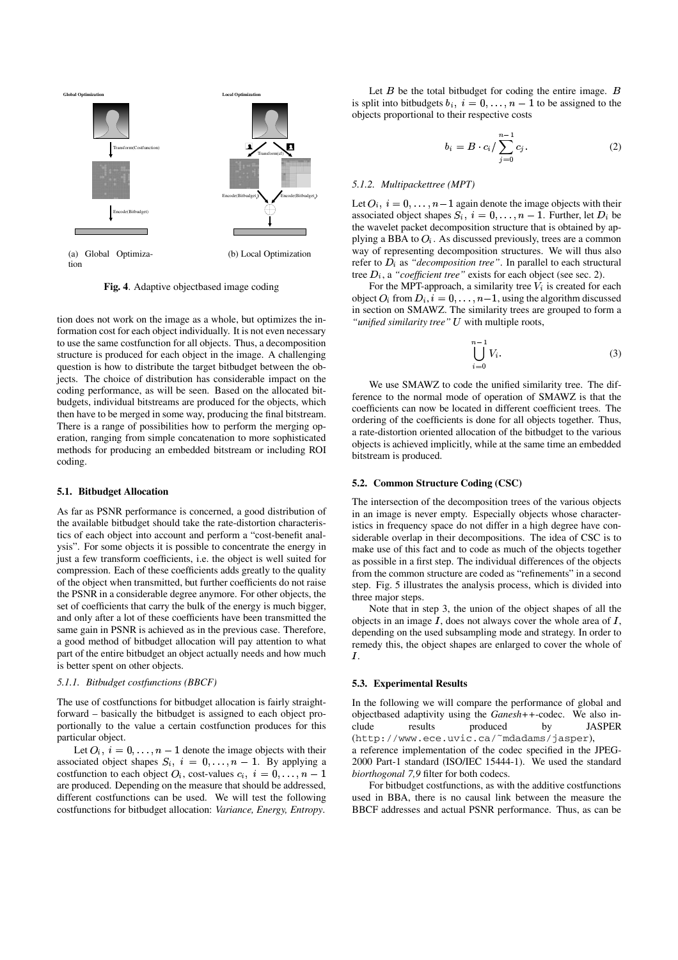

**Fig. 4**. Adaptive objectbased image coding

tion does not work on the image as a whole, but optimizes the information cost for each object individually. It is not even necessary to use the same costfunction for all objects. Thus, a decomposition structure is produced for each object in the image. A challenging question is how to distribute the target bitbudget between the objects. The choice of distribution has considerable impact on the coding performance, as will be seen. Based on the allocated bitbudgets, individual bitstreams are produced for the objects, which then have to be merged in some way, producing the final bitstream. There is a range of possibilities how to perform the merging operation, ranging from simple concatenation to more sophisticated methods for producing an embedded bitstream or including ROI coding.

#### **5.1. Bitbudget Allocation**

As far as PSNR performance is concerned, a good distribution of the available bitbudget should take the rate-distortion characteristics of each object into account and perform a "cost-benefit analysis". For some objects it is possible to concentrate the energy in just a few transform coefficients, i.e. the object is well suited for compression. Each of these coefficients adds greatly to the quality of the object when transmitted, but further coefficients do not raise the PSNR in a considerable degree anymore. For other objects, the set of coefficients that carry the bulk of the energy is much bigger, and only after a lot of these coefficients have been transmitted the same gain in PSNR is achieved as in the previous case. Therefore, a good method of bitbudget allocation will pay attention to what part of the entire bitbudget an object actually needs and how much is better spent on other objects.

# *5.1.1. Bitbudget costfunctions (BBCF)*

The use of costfunctions for bitbudget allocation is fairly straightforward – basically the bitbudget is assigned to each object proportionally to the value a certain costfunction produces for this particular object.

Let  $O_i$ ,  $i = 0, \ldots, n - 1$  denote the image objects with their associated object shapes  $S_i$ ,  $i = 0, \ldots, n-1$ . By applying a costfunction to each object  $O_i$ , cost-values  $c_i$ ,  $i = 0, \ldots, n-1$  bi are produced. Depending on the measure that should be addressed, different costfunctions can be used. We will test the following costfunctions for bitbudget allocation: *Variance, Energy, Entropy*.

Let  $B$  be the total bitbudget for coding the entire image.  $B$ is split into bitbudgets  $b_i$ ,  $i = 0, \ldots, n-1$  to be assigned to the objects proportional to their respective costs

$$
b_i = B \cdot c_i / \sum_{j=0}^{n-1} c_j.
$$
 (2)

#### *5.1.2. Multipackettree (MPT)*

Let  $O_i$ ,  $i = 0, \ldots, n-1$  again denote the image objects with their associated object shapes  $S_i$ ,  $i = 0, \ldots, n - 1$ . Further, let  $D_i$  be the wavelet packet decomposition structure that is obtained by applying a BBA to  $O_i$ . As discussed previously, trees are a common way of representing decomposition structures. We will thus also refer to  $D_i$  as "*decomposition tree*". In parallel to each structural tree  $D_i$ , a "coefficient tree" exists for each object (see sec. 2).

For the MPT-approach, a similarity tree  $V_i$  is created for each object  $O_i$  from  $D_i$ ,  $i = 0, \ldots, n-1$ , using the algorithm discussed in section on SMAWZ. The similarity trees are grouped to form a "*unified similarity tree*" *U* with multiple roots,

$$
\bigcup_{i=0}^{n-1} V_i.
$$
 (3)

We use SMAWZ to code the unified similarity tree. The difference to the normal mode of operation of SMAWZ is that the coefficients can now be located in different coefficient trees. The ordering of the coefficients is done for all objects together. Thus, a rate-distortion oriented allocation of the bitbudget to the various objects is achieved implicitly, while at the same time an embedded bitstream is produced.

#### **5.2. Common Structure Coding (CSC)**

The intersection of the decomposition trees of the various objects in an image is never empty. Especially objects whose characteristics in frequency space do not differ in a high degree have considerable overlap in their decompositions. The idea of CSC is to make use of this fact and to code as much of the objects together as possible in a first step. The individual differences of the objects from the common structure are coded as "refinements" in a second step. Fig. 5 illustrates the analysis process, which is divided into three major steps.

Note that in step 3, the union of the object shapes of all the objects in an image  $I$ , does not always cover the whole area of  $I$ , depending on the used subsampling mode and strategy. In order to remedy this, the object shapes are enlarged to cover the whole of  $I.$ 

#### **5.3. Experimental Results**

 *biorthogonal 7,9* filter for both codecs. In the following we will compare the performance of global and objectbased adaptivity using the *Ganesh++*-codec. We also include results produced by JASPER (http://www.ece.uvic.ca/˜mdadams/jasper), a reference implementation of the codec specified in the JPEG-2000 Part-1 standard (ISO/IEC 15444-1). We used the standard

For bitbudget costfunctions, as with the additive costfunctions used in BBA, there is no causal link between the measure the BBCF addresses and actual PSNR performance. Thus, as can be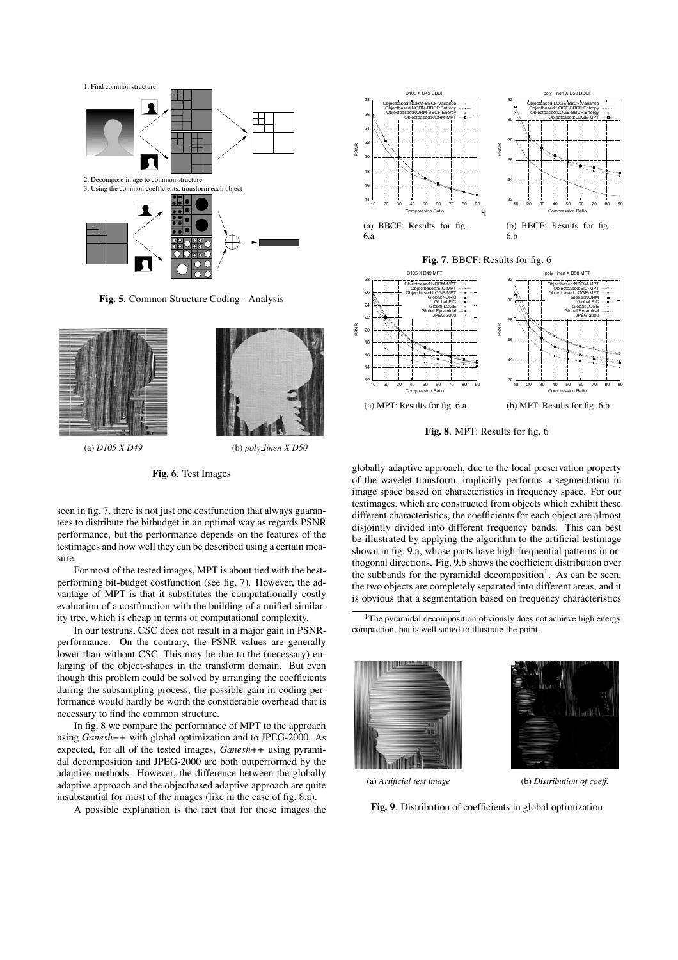

**Fig. 5**. Common Structure Coding - Analysis





(a) *D105 X D49* (b) *poly linen X D50*

**Fig. 6**. Test Images

seen in fig. 7, there is not just one costfunction that always guarantees to distribute the bitbudget in an optimal way as regards PSNR performance, but the performance depends on the features of the testimages and how well they can be described using a certain measure.

For most of the tested images, MPT is about tied with the bestperforming bit-budget costfunction (see fig. 7). However, the advantage of MPT is that it substitutes the computationally costly evaluation of a costfunction with the building of a unified similarity tree, which is cheap in terms of computational complexity.

In our testruns, CSC does not result in a major gain in PSNRperformance. On the contrary, the PSNR values are generally lower than without CSC. This may be due to the (necessary) enlarging of the object-shapes in the transform domain. But even though this problem could be solved by arranging the coefficients during the subsampling process, the possible gain in coding performance would hardly be worth the considerable overhead that is necessary to find the common structure.

In fig. 8 we compare the performance of MPT to the approach using *Ganesh++* with global optimization and to JPEG-2000. As expected, for all of the tested images, *Ganesh++* using pyramidal decomposition and JPEG-2000 are both outperformed by the adaptive methods. However, the difference between the globally adaptive approach and the objectbased adaptive approach are quite insubstantial for most of the images (like in the case of fig. 8.a).

A possible explanation is the fact that for these images the



**Fig. 7**. BBCF: Results for fig. 6



**Fig. 8**. MPT: Results for fig. 6

globally adaptive approach, due to the local preservation property of the wavelet transform, implicitly performs a segmentation in image space based on characteristics in frequency space. For our testimages, which are constructed from objects which exhibit these different characteristics, the coefficients for each object are almost disjointly divided into different frequency bands. This can best be illustrated by applying the algorithm to the artificial testimage shown in fig. 9.a, whose parts have high frequential patterns in orthogonal directions. Fig. 9.b shows the coefficient distribution over the subbands for the pyramidal decomposition<sup>1</sup>. As can be seen, the two objects are completely separated into different areas, and it is obvious that a segmentation based on frequency characteristics

<sup>1</sup>The pyramidal decomposition obviously does not achieve high energy compaction, but is well suited to illustrate the point.





(a) *Artificial test image* (b) *Distribution of coeff.*

**Fig. 9**. Distribution of coefficients in global optimization